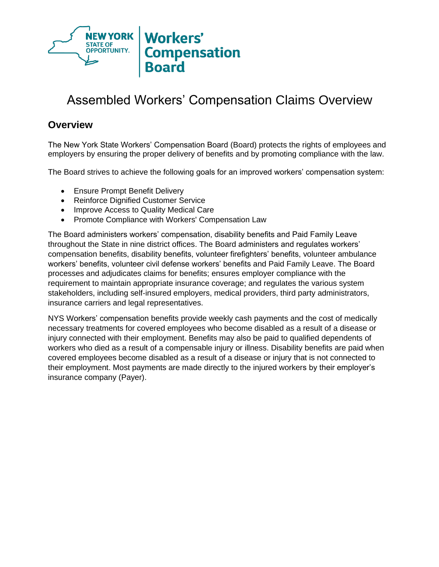

# Assembled Workers' Compensation Claims Overview

### **Overview**

The New York State Workers' Compensation Board (Board) protects the rights of employees and employers by ensuring the proper delivery of benefits and by promoting compliance with the law.

The Board strives to achieve the following goals for an improved workers' compensation system:

- Ensure Prompt Benefit Delivery
- Reinforce Dignified Customer Service
- Improve Access to Quality Medical Care
- Promote Compliance with Workers' Compensation Law

The Board administers workers' compensation, disability benefits and Paid Family Leave throughout the State in nine district offices. The Board administers and regulates workers' compensation benefits, disability benefits, volunteer firefighters' benefits, volunteer ambulance workers' benefits, volunteer civil defense workers' benefits and Paid Family Leave. The Board processes and adjudicates claims for benefits; ensures employer compliance with the requirement to maintain appropriate insurance coverage; and regulates the various system stakeholders, including self‐insured employers, medical providers, third party administrators, insurance carriers and legal representatives.

NYS Workers' compensation benefits provide weekly cash payments and the cost of medically necessary treatments for covered employees who become disabled as a result of a disease or injury connected with their employment. Benefits may also be paid to qualified dependents of workers who died as a result of a compensable injury or illness. Disability benefits are paid when covered employees become disabled as a result of a disease or injury that is not connected to their employment. Most payments are made directly to the injured workers by their employer's insurance company (Payer).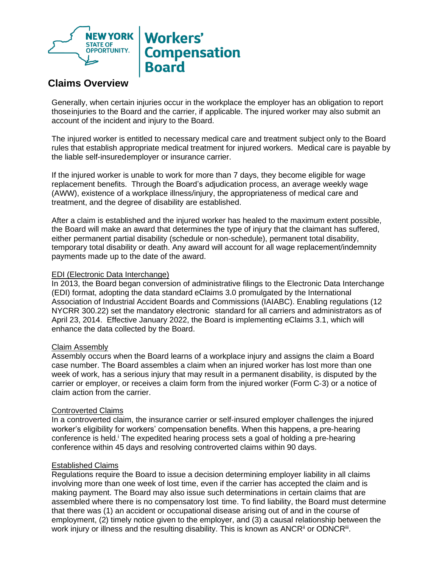

## **Workers' Compensation Board**

### **Claims Overview**

Generally, when certain injuries occur in the workplace the employer has an obligation to report thoseinjuries to the Board and the carrier, if applicable. The injured worker may also submit an account of the incident and injury to the Board.

The injured worker is entitled to necessary medical care and treatment subject only to the Board rules that establish appropriate medical treatment for injured workers. Medical care is payable by the liable self-insuredemployer or insurance carrier.

If the injured worker is unable to work for more than 7 days, they become eligible for wage replacement benefits. Through the Board's adjudication process, an average weekly wage (AWW), existence of a workplace illness/injury, the appropriateness of medical care and treatment, and the degree of disability are established.

After a claim is established and the injured worker has healed to the maximum extent possible, the Board will make an award that determines the type of injury that the claimant has suffered, either permanent partial disability (schedule or non-schedule), permanent total disability, temporary total disability or death. Any award will account for all wage replacement/indemnity payments made up to the date of the award.

### EDI (Electronic Data Interchange)

In 2013, the Board began conversion of administrative filings to the Electronic Data Interchange (EDI) format, adopting the data standard eClaims 3.0 promulgated by the International Association of Industrial Accident Boards and Commissions (IAIABC). Enabling regulations (12 NYCRR 300.22) set the mandatory electronic standard for all carriers and administrators as of April 23, 2014. Effective January 2022, the Board is implementing eClaims 3.1, which will enhance the data collected by the Board.

#### Claim Assembly

Assembly occurs when the Board learns of a workplace injury and assigns the claim a Board case number. The Board assembles a claim when an injured worker has lost more than one week of work, has a serious injury that may result in a permanent disability, is disputed by the carrier or employer, or receives a claim form from the injured worker (Form C‐3) or a notice of claim action from the carrier.

### Controverted Claims

In a controverted claim, the insurance carrier or self‐insured employer challenges the injured worker's eligibility for workers' compensation benefits. When this happens, a pre‐hearing conference is held.<sup>i</sup> The expedited hearing process sets a goal of holding a pre-hearing conference within 45 days and resolving controverted claims within 90 days.

### Established Claims

Regulations require the Board to issue a decision determining employer liability in all claims involving more than one week of lost time, even if the carrier has accepted the claim and is making payment. The Board may also issue such determinations in certain claims that are assembled where there is no compensatory lost time. To find liability, the Board must determine that there was (1) an accident or occupational disease arising out of and in the course of employment, (2) timely notice given to the employer, and (3) a causal relationship between the work injury or illness and the resulting disability. This is known as ANCR<sup>ii</sup> or ODNCR<sup>iii</sup>.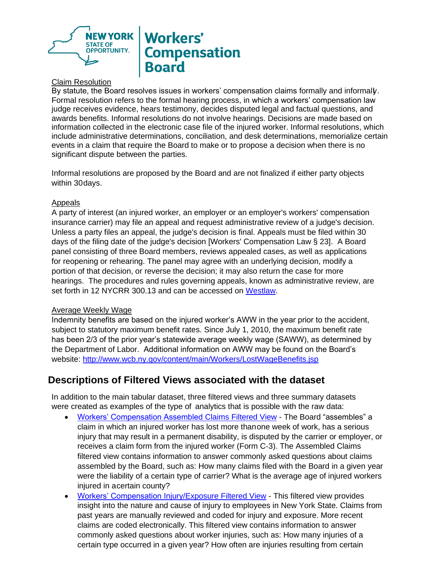

## **Workers' Compensation Board**

### Claim Resolution

By statute, the Board resolves issues in workers' compensation claims formally and informally . Formal resolution refers to the formal hearing process, in which a workers' compensation law judge receives evidence, hears testimony, decides disputed legal and factual questions, and awards benefits. Informal resolutions do not involve hearings. Decisions are made based on information collected in the electronic case file of the injured worker. Informal resolutions, which include administrative determinations, conciliation, and desk determinations, memorialize certain events in a claim that require the Board to make or to propose a decision when there is no significant dispute between the parties.

Informal resolutions are proposed by the Board and are not finalized if either party objects within 30days.

### Appeals

A party of interest (an injured worker, an employer or an employer's workers' compensation insurance carrier) may file an appeal and request administrative review of a judge's decision. Unless a party files an appeal, the judge's decision is final. Appeals must be filed within 30 days of the filing date of the judge's decision [Workers' Compensation Law § 23]. A Board panel consisting of three Board members, reviews appealed cases, as well as applications for reopening or rehearing. The panel may agree with an underlying decision, modify a portion of that decision, or reverse the decision; it may also return the case for more hearings. The procedures and rules governing appeals, known as administrative review, are set forth in 12 NYCRR 300.13 and can be accessed on [Westlaw.](https://govt.westlaw.com/nycrr/Browse/Home/NewYork/NewYorkCodesRulesandRegulations?guid=I089f2350ad0d11dda763b337bd8cd8ca&originationContext=documenttoc&transitionType=Default&contextData=(sc.Default))

### Average Weekly Wage

Indemnity benefits are based on the injured worker's AWW in the year prior to the accident, subject to statutory maximum benefit rates. Since July 1, 2010, the maximum benefit rate has been 2/3 of the prior year's statewide average weekly wage (SAWW), as determined by the Department of Labor. Additional information on AWW may be found on the Board's website:<http://www.wcb.ny.gov/content/main/Workers/LostWageBenefits.jsp>

### **Descriptions of Filtered Views associated with the dataset**

In addition to the main tabular dataset, three filtered views and three summary datasets were created as examples of the type of analytics that is possible with the raw data:

- [Workers' Compensation Assembled Claims](https://data.ny.gov/Government-Finance/Workers-Compensation-Assembled-Claims-Filtered-Vie/sijp-fgte) Filtered View The Board "assembles" a claim in which an injured worker has lost more thanone week of work, has a serious injury that may result in a permanent disability, is disputed by the carrier or employer, or receives a claim form from the injured worker (Form C‐3). The Assembled Claims filtered view contains information to answer commonly asked questions about claims assembled by the Board, such as: How many claims filed with the Board in a given year were the liability of a certain type of carrier? What is the average age of injured workers injured in acertain county?
- [Workers' Compensation Injury/Exposure](https://data.ny.gov/Government-Finance/Workers-Compensation-Injury-Exposure-Filtered-View/ibdi-vgub) Filtered View This filtered view provides insight into the nature and cause of injury to employees in New York State. Claims from past years are manually reviewed and coded for injury and exposure. More recent claims are coded electronically. This filtered view contains information to answer commonly asked questions about worker injuries, such as: How many injuries of a certain type occurred in a given year? How often are injuries resulting from certain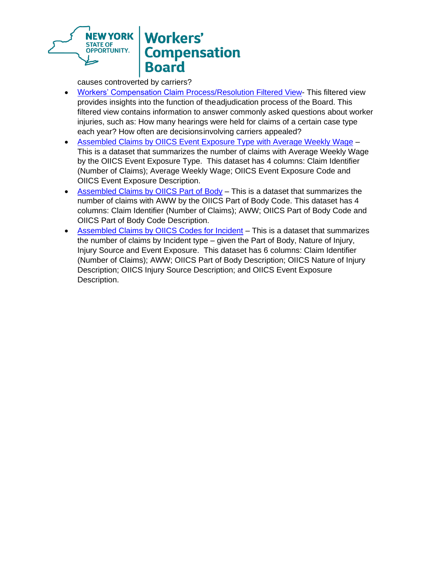

# **Workers' Compensation Board**

causes controverted by carriers?

- [Workers' Compensation Claim Process/Resolution Filtered View-](https://data.ny.gov/Government-Finance/Workers-Compensation-Claim-Process-Resolution-Filt/mcn4-pzd9) This filtered view provides insights into the function of theadjudication process of the Board. This filtered view contains information to answer commonly asked questions about worker injuries, such as: How many hearings were held for claims of a certain case type each year? How often are decisionsinvolving carriers appealed?
- [Assembled Claims by OIICS Event Exposure Type with Average Weekly Wage](https://data.ny.gov/Government-Finance/Assembled-Claims-by-OIICS-Event-Exposure-Type-with/6r4d-hp7p) This is a dataset that summarizes the number of claims with Average Weekly Wage by the OIICS Event Exposure Type. This dataset has 4 columns: Claim Identifier (Number of Claims); Average Weekly Wage; OIICS Event Exposure Code and OIICS Event Exposure Description.
- [Assembled Claims by OIICS Part of Body](https://data.ny.gov/Government-Finance/Assembled-Claims-by-OIICS-Part-of-Body/ywkq-zcxe) This is a dataset that summarizes the number of claims with AWW by the OIICS Part of Body Code. This dataset has 4 columns: Claim Identifier (Number of Claims); AWW; OIICS Part of Body Code and OIICS Part of Body Code Description.
- [Assembled Claims by OIICS Codes for Incident](https://data.ny.gov/Government-Finance/Assembled-Claims-by-OIICS-Codes-for-Incident/3md2-awdu) This is a dataset that summarizes the number of claims by Incident type – given the Part of Body, Nature of Injury, Injury Source and Event Exposure. This dataset has 6 columns: Claim Identifier (Number of Claims); AWW; OIICS Part of Body Description; OIICS Nature of Injury Description; OIICS Injury Source Description; and OIICS Event Exposure Description.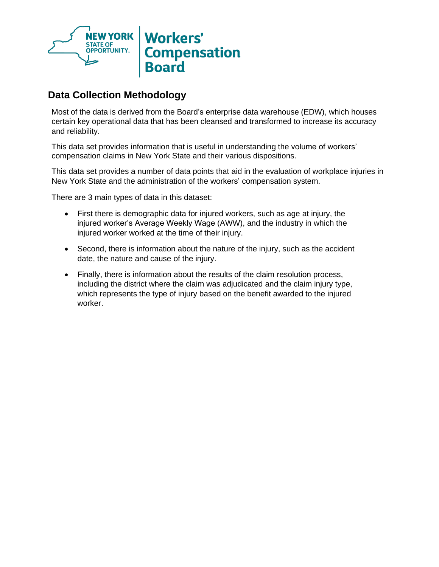

## **Data Collection Methodology**

Most of the data is derived from the Board's enterprise data warehouse (EDW), which houses certain key operational data that has been cleansed and transformed to increase its accuracy and reliability.

This data set provides information that is useful in understanding the volume of workers' compensation claims in New York State and their various dispositions.

This data set provides a number of data points that aid in the evaluation of workplace injuries in New York State and the administration of the workers' compensation system.

There are 3 main types of data in this dataset:

- First there is demographic data for injured workers, such as age at injury, the injured worker's Average Weekly Wage (AWW), and the industry in which the injured worker worked at the time of their injury.
- Second, there is information about the nature of the injury, such as the accident date, the nature and cause of the injury.
- Finally, there is information about the results of the claim resolution process, including the district where the claim was adjudicated and the claim injury type, which represents the type of injury based on the benefit awarded to the injured worker.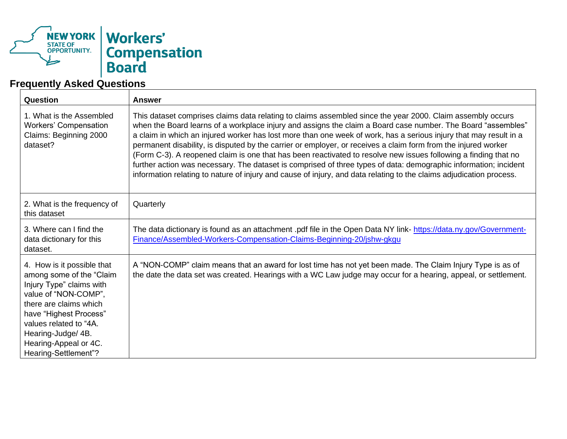

## **Frequently Asked Questions**

| Question                                                                                                                                                                                                                                                        | <b>Answer</b>                                                                                                                                                                                                                                                                                                                                                                                                                                                                                                                                                                                                                                                                                                                                                                                                                   |
|-----------------------------------------------------------------------------------------------------------------------------------------------------------------------------------------------------------------------------------------------------------------|---------------------------------------------------------------------------------------------------------------------------------------------------------------------------------------------------------------------------------------------------------------------------------------------------------------------------------------------------------------------------------------------------------------------------------------------------------------------------------------------------------------------------------------------------------------------------------------------------------------------------------------------------------------------------------------------------------------------------------------------------------------------------------------------------------------------------------|
| 1. What is the Assembled<br><b>Workers' Compensation</b><br>Claims: Beginning 2000<br>dataset?                                                                                                                                                                  | This dataset comprises claims data relating to claims assembled since the year 2000. Claim assembly occurs<br>when the Board learns of a workplace injury and assigns the claim a Board case number. The Board "assembles"<br>a claim in which an injured worker has lost more than one week of work, has a serious injury that may result in a<br>permanent disability, is disputed by the carrier or employer, or receives a claim form from the injured worker<br>(Form C-3). A reopened claim is one that has been reactivated to resolve new issues following a finding that no<br>further action was necessary. The dataset is comprised of three types of data: demographic information; incident<br>information relating to nature of injury and cause of injury, and data relating to the claims adjudication process. |
| 2. What is the frequency of<br>this dataset                                                                                                                                                                                                                     | Quarterly                                                                                                                                                                                                                                                                                                                                                                                                                                                                                                                                                                                                                                                                                                                                                                                                                       |
| 3. Where can I find the<br>data dictionary for this<br>dataset.                                                                                                                                                                                                 | The data dictionary is found as an attachment .pdf file in the Open Data NY link- https://data.ny.gov/Government-<br>Finance/Assembled-Workers-Compensation-Claims-Beginning-20/jshw-gkgu                                                                                                                                                                                                                                                                                                                                                                                                                                                                                                                                                                                                                                       |
| 4. How is it possible that<br>among some of the "Claim<br>Injury Type" claims with<br>value of "NON-COMP",<br>there are claims which<br>have "Highest Process"<br>values related to "4A.<br>Hearing-Judge/ 4B.<br>Hearing-Appeal or 4C.<br>Hearing-Settlement"? | A "NON-COMP" claim means that an award for lost time has not yet been made. The Claim Injury Type is as of<br>the date the data set was created. Hearings with a WC Law judge may occur for a hearing, appeal, or settlement.                                                                                                                                                                                                                                                                                                                                                                                                                                                                                                                                                                                                   |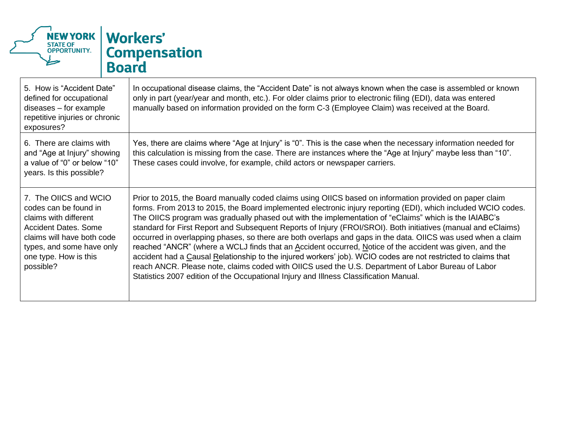

| 5. How is "Accident Date"<br>defined for occupational<br>$diseases - for example$<br>repetitive injuries or chronic<br>exposures?                                                                       | In occupational disease claims, the "Accident Date" is not always known when the case is assembled or known<br>only in part (year/year and month, etc.). For older claims prior to electronic filing (EDI), data was entered<br>manually based on information provided on the form C-3 (Employee Claim) was received at the Board.                                                                                                                                                                                                                                                                                                                                                                                                                                                                                                                                                                                                                                                            |
|---------------------------------------------------------------------------------------------------------------------------------------------------------------------------------------------------------|-----------------------------------------------------------------------------------------------------------------------------------------------------------------------------------------------------------------------------------------------------------------------------------------------------------------------------------------------------------------------------------------------------------------------------------------------------------------------------------------------------------------------------------------------------------------------------------------------------------------------------------------------------------------------------------------------------------------------------------------------------------------------------------------------------------------------------------------------------------------------------------------------------------------------------------------------------------------------------------------------|
| 6. There are claims with<br>and "Age at Injury" showing<br>a value of "0" or below "10"<br>years. Is this possible?                                                                                     | Yes, there are claims where "Age at Injury" is "0". This is the case when the necessary information needed for<br>this calculation is missing from the case. There are instances where the "Age at Injury" maybe less than "10".<br>These cases could involve, for example, child actors or newspaper carriers.                                                                                                                                                                                                                                                                                                                                                                                                                                                                                                                                                                                                                                                                               |
| 7. The OIICS and WCIO<br>codes can be found in<br>claims with different<br><b>Accident Dates. Some</b><br>claims will have both code<br>types, and some have only<br>one type. How is this<br>possible? | Prior to 2015, the Board manually coded claims using OIICS based on information provided on paper claim<br>forms. From 2013 to 2015, the Board implemented electronic injury reporting (EDI), which included WCIO codes.<br>The OIICS program was gradually phased out with the implementation of "eClaims" which is the IAIABC's<br>standard for First Report and Subsequent Reports of Injury (FROI/SROI). Both initiatives (manual and eClaims)<br>occurred in overlapping phases, so there are both overlaps and gaps in the data. OIICS was used when a claim<br>reached "ANCR" (where a WCLJ finds that an Accident occurred, Notice of the accident was given, and the<br>accident had a Causal Relationship to the injured workers' job). WCIO codes are not restricted to claims that<br>reach ANCR. Please note, claims coded with OIICS used the U.S. Department of Labor Bureau of Labor<br>Statistics 2007 edition of the Occupational Injury and Illness Classification Manual. |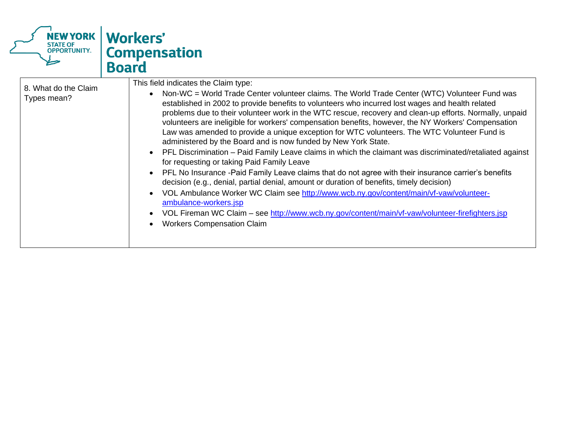

| This field indicates the Claim type:<br>8. What do the Claim<br>Non-WC = World Trade Center volunteer claims. The World Trade Center (WTC) Volunteer Fund was<br>Types mean?<br>established in 2002 to provide benefits to volunteers who incurred lost wages and health related<br>problems due to their volunteer work in the WTC rescue, recovery and clean-up efforts. Normally, unpaid<br>volunteers are ineligible for workers' compensation benefits, however, the NY Workers' Compensation<br>Law was amended to provide a unique exception for WTC volunteers. The WTC Volunteer Fund is<br>administered by the Board and is now funded by New York State.<br>PFL Discrimination – Paid Family Leave claims in which the claimant was discriminated/retaliated against<br>for requesting or taking Paid Family Leave<br>PFL No Insurance -Paid Family Leave claims that do not agree with their insurance carrier's benefits<br>decision (e.g., denial, partial denial, amount or duration of benefits, timely decision)<br>VOL Ambulance Worker WC Claim see http://www.wcb.ny.gov/content/main/vf-vaw/volunteer- |
|-----------------------------------------------------------------------------------------------------------------------------------------------------------------------------------------------------------------------------------------------------------------------------------------------------------------------------------------------------------------------------------------------------------------------------------------------------------------------------------------------------------------------------------------------------------------------------------------------------------------------------------------------------------------------------------------------------------------------------------------------------------------------------------------------------------------------------------------------------------------------------------------------------------------------------------------------------------------------------------------------------------------------------------------------------------------------------------------------------------------------------|
| ambulance-workers.jsp<br>VOL Fireman WC Claim - see http://www.wcb.ny.gov/content/main/vf-vaw/volunteer-firefighters.jsp<br><b>Workers Compensation Claim</b>                                                                                                                                                                                                                                                                                                                                                                                                                                                                                                                                                                                                                                                                                                                                                                                                                                                                                                                                                               |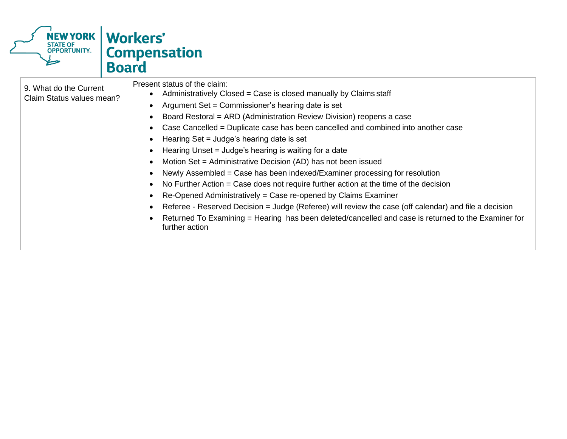

| 9. What do the Current<br>Claim Status values mean? | Present status of the claim:<br>Administratively Closed = Case is closed manually by Claims staff<br>٠<br>Argument Set = Commissioner's hearing date is set<br>Board Restoral = ARD (Administration Review Division) reopens a case<br>Case Cancelled = Duplicate case has been cancelled and combined into another case<br>Hearing Set = Judge's hearing date is set<br>Hearing Unset = Judge's hearing is waiting for a date<br>Motion Set = Administrative Decision (AD) has not been issued<br>Newly Assembled = Case has been indexed/Examiner processing for resolution<br>No Further Action $=$ Case does not require further action at the time of the decision<br>Re-Opened Administratively = Case re-opened by Claims Examiner<br>Referee - Reserved Decision = Judge (Referee) will review the case (off calendar) and file a decision<br>Returned To Examining = Hearing has been deleted/cancelled and case is returned to the Examiner for<br>further action |
|-----------------------------------------------------|-----------------------------------------------------------------------------------------------------------------------------------------------------------------------------------------------------------------------------------------------------------------------------------------------------------------------------------------------------------------------------------------------------------------------------------------------------------------------------------------------------------------------------------------------------------------------------------------------------------------------------------------------------------------------------------------------------------------------------------------------------------------------------------------------------------------------------------------------------------------------------------------------------------------------------------------------------------------------------|
|-----------------------------------------------------|-----------------------------------------------------------------------------------------------------------------------------------------------------------------------------------------------------------------------------------------------------------------------------------------------------------------------------------------------------------------------------------------------------------------------------------------------------------------------------------------------------------------------------------------------------------------------------------------------------------------------------------------------------------------------------------------------------------------------------------------------------------------------------------------------------------------------------------------------------------------------------------------------------------------------------------------------------------------------------|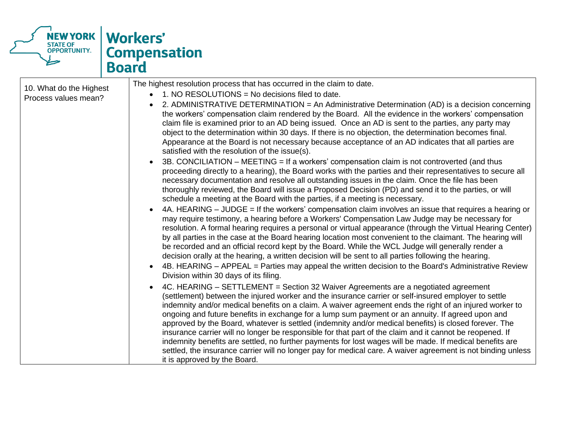

| 10. What do the Highest<br>Process values mean? | The highest resolution process that has occurred in the claim to date.<br>1. NO RESOLUTIONS = No decisions filed to date.<br>2. ADMINISTRATIVE DETERMINATION = An Administrative Determination (AD) is a decision concerning<br>the workers' compensation claim rendered by the Board. All the evidence in the workers' compensation<br>claim file is examined prior to an AD being issued. Once an AD is sent to the parties, any party may<br>object to the determination within 30 days. If there is no objection, the determination becomes final.<br>Appearance at the Board is not necessary because acceptance of an AD indicates that all parties are<br>satisfied with the resolution of the issue(s).<br>3B. CONCILIATION - MEETING = If a workers' compensation claim is not controverted (and thus<br>proceeding directly to a hearing), the Board works with the parties and their representatives to secure all<br>necessary documentation and resolve all outstanding issues in the claim. Once the file has been<br>thoroughly reviewed, the Board will issue a Proposed Decision (PD) and send it to the parties, or will<br>schedule a meeting at the Board with the parties, if a meeting is necessary.<br>4A. HEARING – JUDGE = If the workers' compensation claim involves an issue that requires a hearing or<br>may require testimony, a hearing before a Workers' Compensation Law Judge may be necessary for<br>resolution. A formal hearing requires a personal or virtual appearance (through the Virtual Hearing Center)<br>by all parties in the case at the Board hearing location most convenient to the claimant. The hearing will<br>be recorded and an official record kept by the Board. While the WCL Judge will generally render a<br>decision orally at the hearing, a written decision will be sent to all parties following the hearing.<br>4B. HEARING – APPEAL = Parties may appeal the written decision to the Board's Administrative Review<br>Division within 30 days of its filing.<br>4C. HEARING – SETTLEMENT = Section 32 Waiver Agreements are a negotiated agreement<br>$\bullet$<br>(settlement) between the injured worker and the insurance carrier or self-insured employer to settle<br>indemnity and/or medical benefits on a claim. A waiver agreement ends the right of an injured worker to<br>ongoing and future benefits in exchange for a lump sum payment or an annuity. If agreed upon and |
|-------------------------------------------------|-------------------------------------------------------------------------------------------------------------------------------------------------------------------------------------------------------------------------------------------------------------------------------------------------------------------------------------------------------------------------------------------------------------------------------------------------------------------------------------------------------------------------------------------------------------------------------------------------------------------------------------------------------------------------------------------------------------------------------------------------------------------------------------------------------------------------------------------------------------------------------------------------------------------------------------------------------------------------------------------------------------------------------------------------------------------------------------------------------------------------------------------------------------------------------------------------------------------------------------------------------------------------------------------------------------------------------------------------------------------------------------------------------------------------------------------------------------------------------------------------------------------------------------------------------------------------------------------------------------------------------------------------------------------------------------------------------------------------------------------------------------------------------------------------------------------------------------------------------------------------------------------------------------------------------------------------------------------------------------------------------------------------------------------------------------------------------------------------------------------------------------------------------------------------------------------------------------------------------------------------------------------------------------------------------------------------------------------------------------------------------------------------------------------------------------------------------------|
|                                                 | approved by the Board, whatever is settled (indemnity and/or medical benefits) is closed forever. The<br>insurance carrier will no longer be responsible for that part of the claim and it cannot be reopened. If                                                                                                                                                                                                                                                                                                                                                                                                                                                                                                                                                                                                                                                                                                                                                                                                                                                                                                                                                                                                                                                                                                                                                                                                                                                                                                                                                                                                                                                                                                                                                                                                                                                                                                                                                                                                                                                                                                                                                                                                                                                                                                                                                                                                                                           |
|                                                 | indemnity benefits are settled, no further payments for lost wages will be made. If medical benefits are<br>settled, the insurance carrier will no longer pay for medical care. A waiver agreement is not binding unless<br>it is approved by the Board.                                                                                                                                                                                                                                                                                                                                                                                                                                                                                                                                                                                                                                                                                                                                                                                                                                                                                                                                                                                                                                                                                                                                                                                                                                                                                                                                                                                                                                                                                                                                                                                                                                                                                                                                                                                                                                                                                                                                                                                                                                                                                                                                                                                                    |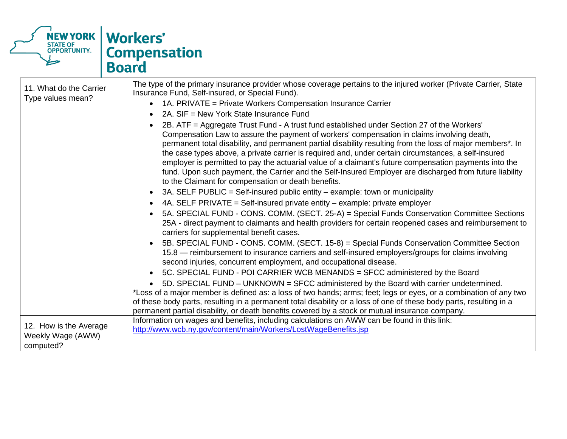

| 11. What do the Carrier<br>Type values mean?             | The type of the primary insurance provider whose coverage pertains to the injured worker (Private Carrier, State<br>Insurance Fund, Self-insured, or Special Fund).<br>1A. PRIVATE = Private Workers Compensation Insurance Carrier<br>$\bullet$                                                                                                                                                                                                                                                                                                                                                                                                                                           |
|----------------------------------------------------------|--------------------------------------------------------------------------------------------------------------------------------------------------------------------------------------------------------------------------------------------------------------------------------------------------------------------------------------------------------------------------------------------------------------------------------------------------------------------------------------------------------------------------------------------------------------------------------------------------------------------------------------------------------------------------------------------|
|                                                          | 2A. SIF = New York State Insurance Fund<br>$\bullet$                                                                                                                                                                                                                                                                                                                                                                                                                                                                                                                                                                                                                                       |
|                                                          | 2B. ATF = Aggregate Trust Fund - A trust fund established under Section 27 of the Workers'<br>Compensation Law to assure the payment of workers' compensation in claims involving death,<br>permanent total disability, and permanent partial disability resulting from the loss of major members*. In<br>the case types above, a private carrier is required and, under certain circumstances, a self-insured<br>employer is permitted to pay the actuarial value of a claimant's future compensation payments into the<br>fund. Upon such payment, the Carrier and the Self-Insured Employer are discharged from future liability<br>to the Claimant for compensation or death benefits. |
|                                                          | 3A. SELF PUBLIC = Self-insured public entity - example: town or municipality<br>$\bullet$                                                                                                                                                                                                                                                                                                                                                                                                                                                                                                                                                                                                  |
|                                                          | 4A. SELF PRIVATE = Self-insured private entity - example: private employer<br>$\bullet$                                                                                                                                                                                                                                                                                                                                                                                                                                                                                                                                                                                                    |
|                                                          | 5A. SPECIAL FUND - CONS. COMM. (SECT. 25-A) = Special Funds Conservation Committee Sections<br>$\bullet$<br>25A - direct payment to claimants and health providers for certain reopened cases and reimbursement to<br>carriers for supplemental benefit cases.                                                                                                                                                                                                                                                                                                                                                                                                                             |
|                                                          | 5B. SPECIAL FUND - CONS. COMM. (SECT. 15-8) = Special Funds Conservation Committee Section<br>$\bullet$<br>15.8 — reimbursement to insurance carriers and self-insured employers/groups for claims involving<br>second injuries, concurrent employment, and occupational disease.                                                                                                                                                                                                                                                                                                                                                                                                          |
|                                                          | 5C. SPECIAL FUND - POI CARRIER WCB MENANDS = SFCC administered by the Board<br>$\bullet$                                                                                                                                                                                                                                                                                                                                                                                                                                                                                                                                                                                                   |
|                                                          | 5D. SPECIAL FUND - UNKNOWN = SFCC administered by the Board with carrier undetermined.<br>$\bullet$<br>*Loss of a major member is defined as: a loss of two hands; arms; feet; legs or eyes, or a combination of any two                                                                                                                                                                                                                                                                                                                                                                                                                                                                   |
|                                                          | of these body parts, resulting in a permanent total disability or a loss of one of these body parts, resulting in a<br>permanent partial disability, or death benefits covered by a stock or mutual insurance company.                                                                                                                                                                                                                                                                                                                                                                                                                                                                     |
| 12. How is the Average<br>Weekly Wage (AWW)<br>computed? | Information on wages and benefits, including calculations on AWW can be found in this link:<br>http://www.wcb.ny.gov/content/main/Workers/LostWageBenefits.jsp                                                                                                                                                                                                                                                                                                                                                                                                                                                                                                                             |